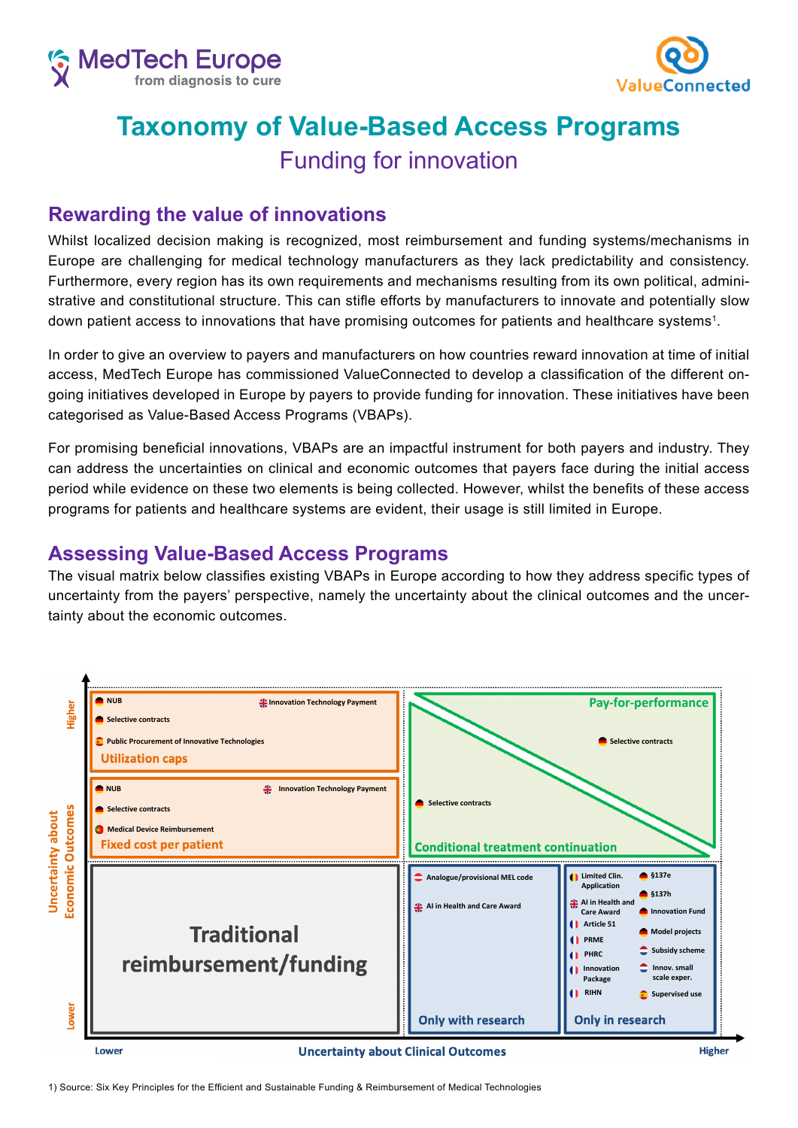



## **Taxonomy of Value-Based Access Programs**  Funding for innovation

## **Rewarding the value of innovations**

Whilst localized decision making is recognized, most reimbursement and funding systems/mechanisms in Europe are challenging for medical technology manufacturers as they lack predictability and consistency. Furthermore, every region has its own requirements and mechanisms resulting from its own political, administrative and constitutional structure. This can stifle efforts by manufacturers to innovate and potentially slow down patient access to innovations that have promising outcomes for patients and healthcare systems<sup>1</sup>.

In order to give an overview to payers and manufacturers on how countries reward innovation at time of initial access, MedTech Europe has commissioned ValueConnected to develop a classification of the different ongoing initiatives developed in Europe by payers to provide funding for innovation. These initiatives have been categorised as Value-Based Access Programs (VBAPs).

For promising beneficial innovations, VBAPs are an impactful instrument for both payers and industry. They can address the uncertainties on clinical and economic outcomes that payers face during the initial access period while evidence on these two elements is being collected. However, whilst the benefits of these access programs for patients and healthcare systems are evident, their usage is still limited in Europe.

## **Assessing Value-Based Access Programs**

The visual matrix below classifies existing VBAPs in Europe according to how they address specific types of uncertainty from the payers' perspective, namely the uncertainty about the clinical outcomes and the uncertainty about the economic outcomes.